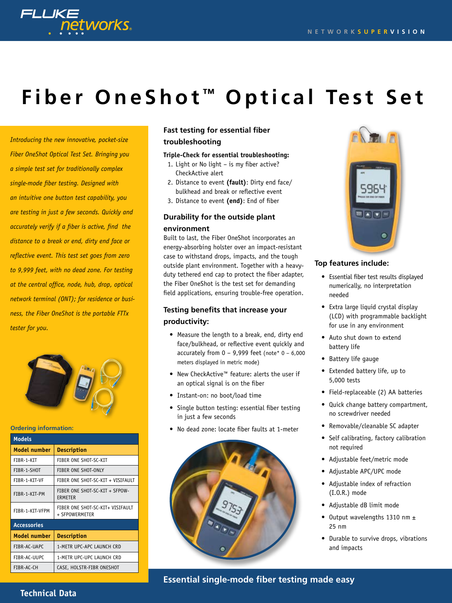

# **Fiber OneShot ™ Optical Test Set**

*Introducing the new innovative, pocket-size Fiber OneShot Optical Test Set. Bringing you a simple test set for traditionally complex single-mode fiber testing. Designed with an intuitive one button test capability, you are testing in just a few seconds. Quickly and accurately verify if a fiber is active, find the distance to a break or end, dirty end face or reflective event. This test set goes from zero to 9,999 feet, with no dead zone. For testing at the central office, node, hub, drop, optical network terminal (ONT); for residence or business, the Fiber OneShot is the portable FTTx tester for you.* 



#### **Ordering information:**

| <b>Models</b>       |                                                    |  |  |  |
|---------------------|----------------------------------------------------|--|--|--|
| Model number        | <b>Description</b>                                 |  |  |  |
| FIBR-1-KIT          | FIBER ONE SHOT-SC-KIT                              |  |  |  |
| FIBR-1-SHOT         | FIBER ONE SHOT-ONLY                                |  |  |  |
| FIBR-1-KIT-VF       | FIBER ONE SHOT-SC-KIT + VISIFAULT                  |  |  |  |
| FIBR-1-KIT-PM       | FIBER ONE SHOT-SC-KIT + SFPOW-<br>ERMETER          |  |  |  |
| FIBR-1-KIT-VFPM     | FIBER ONE SHOT-SC-KIT+ VISIFAULT<br>+ SFPOWERMETER |  |  |  |
| <b>Accessories</b>  |                                                    |  |  |  |
| <b>Model number</b> | <b>Description</b>                                 |  |  |  |
| FIBR-AC-UAPC        | 1-METR UPC-APC LAUNCH CRD                          |  |  |  |
| FIBR-AC-UUPC        | 1-METR UPC-UPC LAUNCH CRD                          |  |  |  |
| FIBR-AC-CH          | CASE, HOLSTR-FIBR ONESHOT                          |  |  |  |

# **Fast testing for essential fiber troubleshooting**

### **Triple-Check for essential troubleshooting:**

- 1. Light or No light is my fiber active? CheckActive alert
- 2. Distance to event **(fault)**: Dirty end face/ bulkhead and break or reflective event
- 3. Distance to event **(end)**: End of fiber

## **Durability for the outside plant environment**

Built to last, the Fiber OneShot incorporates an energy-absorbing holster over an impact-resistant case to withstand drops, impacts, and the tough outside plant environment. Together with a heavyduty tethered end cap to protect the fiber adapter, the Fiber OneShot is the test set for demanding field applications, ensuring trouble-free operation.

# **Testing benefits that increase your productivity:**

- Measure the length to a break, end, dirty end face/bulkhead, or reflective event quickly and accurately from  $0 - 9,999$  feet (note\*  $0 - 6,000$ meters displayed in metric mode)
- • New CheckActive™ feature: alerts the user if an optical signal is on the fiber
- • Instant-on: no boot/load time
- Single button testing: essential fiber testing in just a few seconds
- • No dead zone: locate fiber faults at 1-meter





### **Top features include:**

- • Essential fiber test results displayed numerically, no interpretation needed
- Extra large liquid crystal display (LCD) with programmable backlight for use in any environment
- Auto shut down to extend battery life
- Battery life gauge
- Extended battery life, up to 5,000 tests
- • Field-replaceable (2) AA batteries
- • Quick change battery compartment, no screwdriver needed
- Removable/cleanable SC adapter
- Self calibrating, factory calibration not required
- Adjustable feet/metric mode
- Adjustable APC/UPC mode
- Adjustable index of refraction (I.O.R.) mode
- Adjustable dB limit mode
- Output wavelengths 1310 nm  $\pm$ 25 nm
- Durable to survive drops, vibrations and impacts

**Essential single-mode fiber testing made easy**

## **Technical Data**